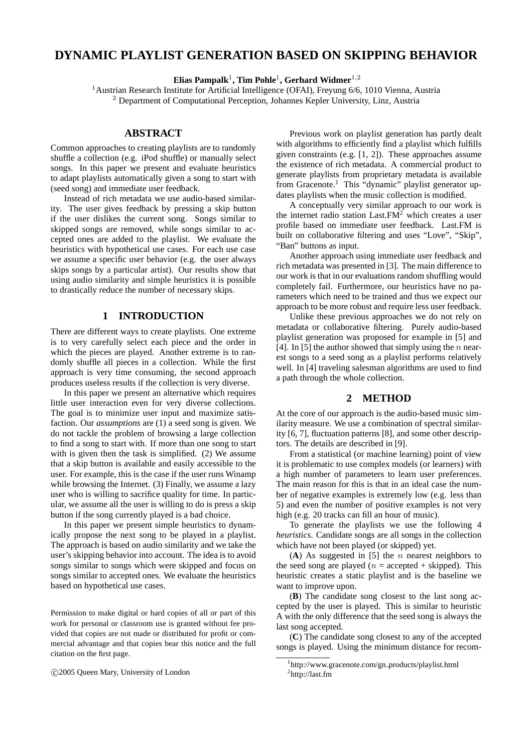# **DYNAMIC PLAYLIST GENERATION BASED ON SKIPPING BEHAVIOR**

**Elias Pampalk**<sup>1</sup> **, Tim Pohle**<sup>1</sup> **, Gerhard Widmer**1,<sup>2</sup>

<sup>1</sup> Austrian Research Institute for Artificial Intelligence (OFAI), Freyung 6/6, 1010 Vienna, Austria <sup>2</sup> Department of Computational Perception, Johannes Kepler University, Linz, Austria

### **ABSTRACT**

Common approaches to creating playlists are to randomly shuffle a collection (e.g. iPod shuffle) or manually select songs. In this paper we present and evaluate heuristics to adapt playlists automatically given a song to start with (seed song) and immediate user feedback.

Instead of rich metadata we use audio-based similarity. The user gives feedback by pressing a skip button if the user dislikes the current song. Songs similar to skipped songs are removed, while songs similar to accepted ones are added to the playlist. We evaluate the heuristics with hypothetical use cases. For each use case we assume a specific user behavior (e.g. the user always skips songs by a particular artist). Our results show that using audio similarity and simple heuristics it is possible to drastically reduce the number of necessary skips.

### **1 INTRODUCTION**

There are different ways to create playlists. One extreme is to very carefully select each piece and the order in which the pieces are played. Another extreme is to randomly shuffle all pieces in a collection. While the first approach is very time consuming, the second approach produces useless results if the collection is very diverse.

In this paper we present an alternative which requires little user interaction even for very diverse collections. The goal is to minimize user input and maximize satisfaction. Our *assumptions* are (1) a seed song is given. We do not tackle the problem of browsing a large collection to find a song to start with. If more than one song to start with is given then the task is simplified. (2) We assume that a skip button is available and easily accessible to the user. For example, this is the case if the user runs Winamp while browsing the Internet. (3) Finally, we assume a lazy user who is willing to sacrifice quality for time. In particular, we assume all the user is willing to do is press a skip button if the song currently played is a bad choice.

In this paper we present simple heuristics to dynamically propose the next song to be played in a playlist. The approach is based on audio similarity and we take the user's skipping behavior into account. The idea is to avoid songs similar to songs which were skipped and focus on songs similar to accepted ones. We evaluate the heuristics based on hypothetical use cases.

Permission to make digital or hard copies of all or part of this work for personal or classroom use is granted without fee provided that copies are not made or distributed for profit or commercial advantage and that copies bear this notice and the full citation on the first page.

c 2005 Queen Mary, University of London

Previous work on playlist generation has partly dealt with algorithms to efficiently find a playlist which fulfills given constraints (e.g. [1, 2]). These approaches assume the existence of rich metadata. A commercial product to generate playlists from proprietary metadata is available from Gracenote.<sup>1</sup> This "dynamic" playlist generator updates playlists when the music collection is modified.

A conceptually very similar approach to our work is the internet radio station Last. $FM<sup>2</sup>$  which creates a user profile based on immediate user feedback. Last.FM is built on collaborative filtering and uses "Love", "Skip", "Ban" buttons as input.

Another approach using immediate user feedback and rich metadata was presented in [3]. The main difference to our work is that in our evaluations random shuffling would completely fail. Furthermore, our heuristics have no parameters which need to be trained and thus we expect our approach to be more robust and require less user feedback.

Unlike these previous approaches we do not rely on metadata or collaborative filtering. Purely audio-based playlist generation was proposed for example in [5] and [4]. In [5] the author showed that simply using the  $n$  nearest songs to a seed song as a playlist performs relatively well. In [4] traveling salesman algorithms are used to find a path through the whole collection.

## **2 METHOD**

At the core of our approach is the audio-based music similarity measure. We use a combination of spectral similarity [6, 7], fluctuation patterns [8], and some other descriptors. The details are described in [9].

From a statistical (or machine learning) point of view it is problematic to use complex models (or learners) with a high number of parameters to learn user preferences. The main reason for this is that in an ideal case the number of negative examples is extremely low (e.g. less than 5) and even the number of positive examples is not very high (e.g. 20 tracks can fill an hour of music).

To generate the playlists we use the following 4 *heuristics*. Candidate songs are all songs in the collection which have not been played (or skipped) yet.

 $(A)$  As suggested in [5] the *n* nearest neighbors to the seed song are played ( $n =$  accepted + skipped). This heuristic creates a static playlist and is the baseline we want to improve upon.

(**B**) The candidate song closest to the last song accepted by the user is played. This is similar to heuristic A with the only difference that the seed song is always the last song accepted.

(**C**) The candidate song closest to any of the accepted songs is played. Using the minimum distance for recom-

<sup>&</sup>lt;sup>1</sup>http://www.gracenote.com/gn\_products/playlist.html 2 http://last.fm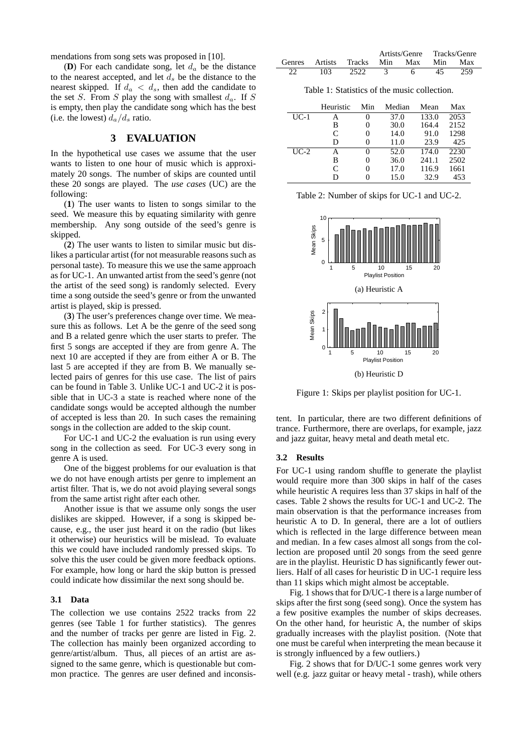mendations from song sets was proposed in [10].

(**D**) For each candidate song, let  $d_a$  be the distance to the nearest accepted, and let  $d_s$  be the distance to the nearest skipped. If  $d_a < d_s$ , then add the candidate to the set S. From S play the song with smallest  $d_a$ . If S is empty, then play the candidate song which has the best (i.e. the lowest)  $d_a/d_s$  ratio.

### **3 EVALUATION**

In the hypothetical use cases we assume that the user wants to listen to one hour of music which is approximately 20 songs. The number of skips are counted until these 20 songs are played. The *use cases* (UC) are the following:

(**1**) The user wants to listen to songs similar to the seed. We measure this by equating similarity with genre membership. Any song outside of the seed's genre is skipped.

(**2**) The user wants to listen to similar music but dislikes a particular artist (for not measurable reasons such as personal taste). To measure this we use the same approach as for UC-1. An unwanted artist from the seed's genre (not the artist of the seed song) is randomly selected. Every time a song outside the seed's genre or from the unwanted artist is played, skip is pressed.

(**3**) The user's preferences change over time. We measure this as follows. Let A be the genre of the seed song and B a related genre which the user starts to prefer. The first 5 songs are accepted if they are from genre A. The next 10 are accepted if they are from either A or B. The last 5 are accepted if they are from B. We manually selected pairs of genres for this use case. The list of pairs can be found in Table 3. Unlike UC-1 and UC-2 it is possible that in UC-3 a state is reached where none of the candidate songs would be accepted although the number of accepted is less than 20. In such cases the remaining songs in the collection are added to the skip count.

For UC-1 and UC-2 the evaluation is run using every song in the collection as seed. For UC-3 every song in genre A is used.

One of the biggest problems for our evaluation is that we do not have enough artists per genre to implement an artist filter. That is, we do not avoid playing several songs from the same artist right after each other.

Another issue is that we assume only songs the user dislikes are skipped. However, if a song is skipped because, e.g., the user just heard it on the radio (but likes it otherwise) our heuristics will be mislead. To evaluate this we could have included randomly pressed skips. To solve this the user could be given more feedback options. For example, how long or hard the skip button is pressed could indicate how dissimilar the next song should be.

#### **3.1 Data**

The collection we use contains 2522 tracks from 22 genres (see Table 1 for further statistics). The genres and the number of tracks per genre are listed in Fig. 2. The collection has mainly been organized according to genre/artist/album. Thus, all pieces of an artist are assigned to the same genre, which is questionable but common practice. The genres are user defined and inconsis-

|               |         |        |     | Artists/Genre |     | Tracks/Genre |
|---------------|---------|--------|-----|---------------|-----|--------------|
| <b>Genres</b> | Artists | Tracks | Min | Max           | Min | Max          |
|               | 103     | 2522   |     |               | 45  |              |

Table 1: Statistics of the music collection.

|        | Heuristic     | Min               | Median | Mean  | Max  |
|--------|---------------|-------------------|--------|-------|------|
| $UC-1$ | А             |                   | 37.0   | 133.0 | 2053 |
|        | В             |                   | 30.0   | 164.4 | 2152 |
|        | $\mathcal{C}$ | $\theta$          | 14.0   | 91.0  | 1298 |
|        | D             |                   | 11.0   | 23.9  | 425  |
| $UC-2$ | A             | $\mathbf{\Omega}$ | 52.0   | 174.0 | 2230 |
|        | В             |                   | 36.0   | 241.1 | 2502 |
|        | $\mathcal{C}$ | $\theta$          | 17.0   | 116.9 | 1661 |
|        | D             |                   | 15.0   | 32.9  | 453  |

Table 2: Number of skips for UC-1 and UC-2.



Figure 1: Skips per playlist position for UC-1.

tent. In particular, there are two different definitions of trance. Furthermore, there are overlaps, for example, jazz and jazz guitar, heavy metal and death metal etc.

#### **3.2 Results**

For UC-1 using random shuffle to generate the playlist would require more than 300 skips in half of the cases while heuristic A requires less than 37 skips in half of the cases. Table 2 shows the results for UC-1 and UC-2. The main observation is that the performance increases from heuristic A to D. In general, there are a lot of outliers which is reflected in the large difference between mean and median. In a few cases almost all songs from the collection are proposed until 20 songs from the seed genre are in the playlist. Heuristic D has significantly fewer outliers. Half of all cases for heuristic D in UC-1 require less than 11 skips which might almost be acceptable.

Fig. 1 shows that for D/UC-1 there is a large number of skips after the first song (seed song). Once the system has a few positive examples the number of skips decreases. On the other hand, for heuristic A, the number of skips gradually increases with the playlist position. (Note that one must be careful when interpreting the mean because it is strongly influenced by a few outliers.)

Fig. 2 shows that for D/UC-1 some genres work very well (e.g. jazz guitar or heavy metal - trash), while others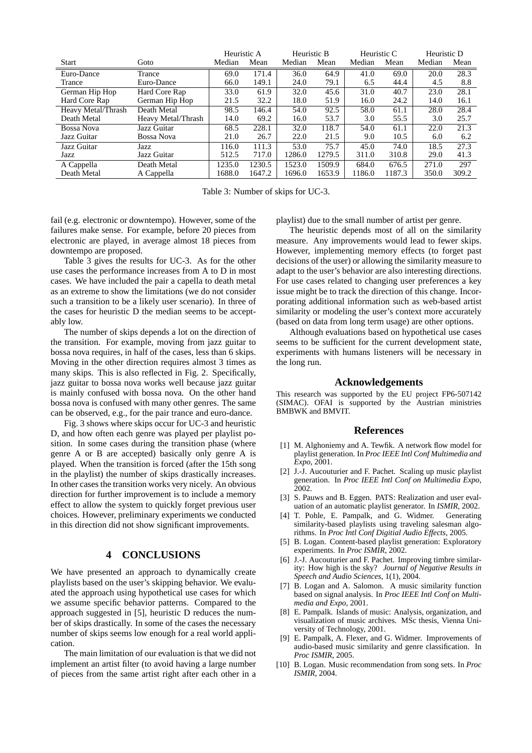|                    |                    | Heuristic A |        | Heuristic B |        | Heuristic C |        | Heuristic D |       |
|--------------------|--------------------|-------------|--------|-------------|--------|-------------|--------|-------------|-------|
| Start              | Goto               | Median      | Mean   | Median      | Mean   | Median      | Mean   | Median      | Mean  |
| Euro-Dance         | Trance             | 69.0        | 171.4  | 36.0        | 64.9   | 41.0        | 69.0   | 20.0        | 28.3  |
| Trance             | Euro-Dance         | 66.0        | 149.1  | 24.0        | 79.1   | 6.5         | 44.4   | 4.5         | 8.8   |
| German Hip Hop     | Hard Core Rap      | 33.0        | 61.9   | 32.0        | 45.6   | 31.0        | 40.7   | 23.0        | 28.1  |
| Hard Core Rap      | German Hip Hop     | 21.5        | 32.2   | 18.0        | 51.9   | 16.0        | 24.2   | 14.0        | 16.1  |
| Heavy Metal/Thrash | Death Metal        | 98.5        | 146.4  | 54.0        | 92.5   | 58.0        | 61.1   | 28.0        | 28.4  |
| Death Metal        | Heavy Metal/Thrash | 14.0        | 69.2   | 16.0        | 53.7   | 3.0         | 55.5   | 3.0         | 25.7  |
| <b>Bossa Nova</b>  | Jazz Guitar        | 68.5        | 228.1  | 32.0        | 118.7  | 54.0        | 61.1   | 22.0        | 21.3  |
| Jazz Guitar        | Bossa Nova         | 21.0        | 26.7   | 22.0        | 21.5   | 9.0         | 10.5   | 6.0         | 6.2   |
| Jazz Guitar        | Jazz               | 116.0       | 111.3  | 53.0        | 75.7   | 45.0        | 74.0   | 18.5        | 27.3  |
| Jazz               | Jazz Guitar        | 512.5       | 717.0  | 1286.0      | 1279.5 | 311.0       | 310.8  | 29.0        | 41.3  |
| A Cappella         | Death Metal        | 1235.0      | 1230.5 | 1523.0      | 1509.9 | 684.0       | 676.5  | 271.0       | 297   |
| Death Metal        | A Cappella         | 1688.0      | 1647.2 | 1696.0      | 1653.9 | 1186.0      | 1187.3 | 350.0       | 309.2 |

Table 3: Number of skips for UC-3.

fail (e.g. electronic or downtempo). However, some of the failures make sense. For example, before 20 pieces from electronic are played, in average almost 18 pieces from downtempo are proposed.

Table 3 gives the results for UC-3. As for the other use cases the performance increases from A to D in most cases. We have included the pair a capella to death metal as an extreme to show the limitations (we do not consider such a transition to be a likely user scenario). In three of the cases for heuristic D the median seems to be acceptably low.

The number of skips depends a lot on the direction of the transition. For example, moving from jazz guitar to bossa nova requires, in half of the cases, less than 6 skips. Moving in the other direction requires almost 3 times as many skips. This is also reflected in Fig. 2. Specifically, jazz guitar to bossa nova works well because jazz guitar is mainly confused with bossa nova. On the other hand bossa nova is confused with many other genres. The same can be observed, e.g., for the pair trance and euro-dance.

Fig. 3 shows where skips occur for UC-3 and heuristic D, and how often each genre was played per playlist position. In some cases during the transition phase (where genre A or B are accepted) basically only genre A is played. When the transition is forced (after the 15th song in the playlist) the number of skips drastically increases. In other cases the transition works very nicely. An obvious direction for further improvement is to include a memory effect to allow the system to quickly forget previous user choices. However, preliminary experiments we conducted in this direction did not show significant improvements.

## **4 CONCLUSIONS**

We have presented an approach to dynamically create playlists based on the user's skipping behavior. We evaluated the approach using hypothetical use cases for which we assume specific behavior patterns. Compared to the approach suggested in [5], heuristic D reduces the number of skips drastically. In some of the cases the necessary number of skips seems low enough for a real world application.

The main limitation of our evaluation is that we did not implement an artist filter (to avoid having a large number of pieces from the same artist right after each other in a playlist) due to the small number of artist per genre.

The heuristic depends most of all on the similarity measure. Any improvements would lead to fewer skips. However, implementing memory effects (to forget past decisions of the user) or allowing the similarity measure to adapt to the user's behavior are also interesting directions. For use cases related to changing user preferences a key issue might be to track the direction of this change. Incorporating additional information such as web-based artist similarity or modeling the user's context more accurately (based on data from long term usage) are other options.

Although evaluations based on hypothetical use cases seems to be sufficient for the current development state, experiments with humans listeners will be necessary in the long run.

#### **Acknowledgements**

This research was supported by the EU project FP6-507142 (SIMAC). OFAI is supported by the Austrian ministries BMBWK and BMVIT.

#### **References**

- [1] M. Alghoniemy and A. Tewfik. A network flow model for playlist generation. In *Proc IEEE Intl Conf Multimedia and Expo*, 2001.
- [2] J.-J. Aucouturier and F. Pachet. Scaling up music playlist generation. In *Proc IEEE Intl Conf on Multimedia Expo*, 2002.
- [3] S. Pauws and B. Eggen. PATS: Realization and user evaluation of an automatic playlist generator. In *ISMIR*, 2002.
- [4] T. Pohle, E. Pampalk, and G. Widmer. Generating similarity-based playlists using traveling salesman algorithms. In *Proc Intl Conf Digitial Audio Effects*, 2005.
- [5] B. Logan. Content-based playlist generation: Exploratory experiments. In *Proc ISMIR*, 2002.
- [6] J.-J. Aucouturier and F. Pachet. Improving timbre similarity: How high is the sky? *Journal of Negative Results in Speech and Audio Sciences*, 1(1), 2004.
- [7] B. Logan and A. Salomon. A music similarity function based on signal analysis. In *Proc IEEE Intl Conf on Multimedia and Expo*, 2001.
- [8] E. Pampalk. Islands of music: Analysis, organization, and visualization of music archives. MSc thesis, Vienna University of Technology, 2001.
- [9] E. Pampalk, A. Flexer, and G. Widmer. Improvements of audio-based music similarity and genre classification. In *Proc ISMIR*, 2005.
- [10] B. Logan. Music recommendation from song sets. In *Proc ISMIR*, 2004.